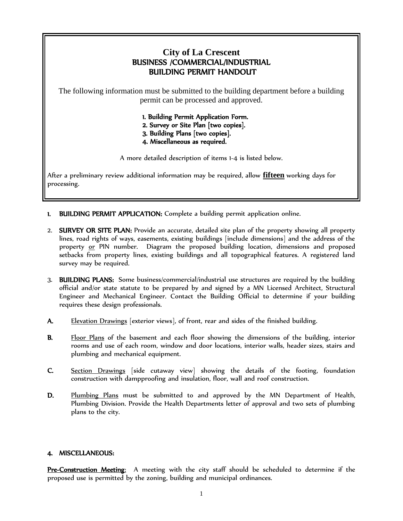## **City of La Crescent** BUSINESS /COMMERCIAL/INDUSTRIAL BUILDING PERMIT HANDOUT

The following information must be submitted to the building department before a building permit can be processed and approved.

> 1. Building Permit Application Form. 2. Survey or Site Plan [two copies]. 3. Building Plans [two copies]. 4. Miscellaneous as required.

A more detailed description of items 1-4 is listed below.

After a preliminary review additional information may be required, allow **fifteen** working days for processing.

- 1. BUILDING PERMIT APPLICATION: Complete a building permit application online.
- 2. SURVEY OR SITE PLAN: Provide an accurate, detailed site plan of the property showing all property lines, road rights of ways, easements, existing buildings [include dimensions] and the address of the property or PIN number. Diagram the proposed building location, dimensions and proposed setbacks from property lines, existing buildings and all topographical features. A registered land survey may be required.
- 3. BUILDING PLANS: Some business/commercial/industrial use structures are required by the building official and/or state statute to be prepared by and signed by a MN Licensed Architect, Structural Engineer and Mechanical Engineer. Contact the Building Official to determine if your building requires these design professionals.
- A. Elevation Drawings [exterior views], of front, rear and sides of the finished building.
- B. Floor Plans of the basement and each floor showing the dimensions of the building, interior rooms and use of each room, window and door locations, interior walls, header sizes, stairs and plumbing and mechanical equipment.
- C. Section Drawings [side cutaway view] showing the details of the footing, foundation construction with dampproofing and insulation, floor, wall and roof construction.
- D. Plumbing Plans must be submitted to and approved by the MN Department of Health, Plumbing Division. Provide the Health Departments letter of approval and two sets of plumbing plans to the city.

## 4. MISCELLANEOUS:

Pre-Construction Meeting: A meeting with the city staff should be scheduled to determine if the proposed use is permitted by the zoning, building and municipal ordinances.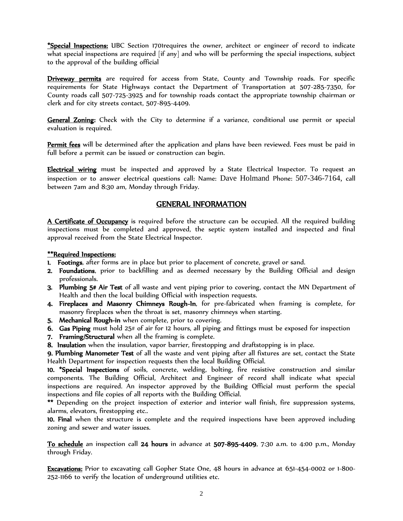\*Special Inspections: UBC Section 1701requires the owner, architect or engineer of record to indicate what special inspections are required [if any] and who will be performing the special inspections, subject to the approval of the building official

**Driveway permits** are required for access from State, County and Township roads. For specific requirements for State Highways contact the Department of Transportation at 507-285-7350, for County roads call 507-725-3925 and for township roads contact the appropriate township chairman or clerk and for city streets contact, 507-895-4409.

General Zoning: Check with the City to determine if a variance, conditional use permit or special evaluation is required.

Permit fees will be determined after the application and plans have been reviewed. Fees must be paid in full before a permit can be issued or construction can begin.

Electrical wiring must be inspected and approved by a State Electrical Inspector. To request an inspection or to answer electrical questions call: Name: Dave Holmand Phone: 507-346-7164, call between 7am and 8:30 am, Monday through Friday.

## GENERAL INFORMATION

A Certificate of Occupancy is required before the structure can be occupied. All the required building inspections must be completed and approved, the septic system installed and inspected and final approval received from the State Electrical Inspector.

## \*\*Required Inspections:

- 1. Footings, after forms are in place but prior to placement of concrete, gravel or sand.
- 2. Foundations, prior to backfilling and as deemed necessary by the Building Official and design professionals.
- 3. Plumbing 5# Air Test of all waste and vent piping prior to covering, contact the MN Department of Health and then the local building Official with inspection requests.
- 4. Fireplaces and Masonry Chimneys Rough-In, for pre-fabricated when framing is complete, for masonry fireplaces when the throat is set, masonry chimneys when starting.
- 5. Mechanical Rough-in when complete, prior to covering.
- 6. Gas Piping must hold 25# of air for 12 hours, all piping and fittings must be exposed for inspection
- 7. Framing/Structural when all the framing is complete.
- 8. Insulation when the insulation, vapor barrier, firestopping and draftstopping is in place.

9. Plumbing Manometer Test of all the waste and vent piping after all fixtures are set, contact the State Health Department for inspection requests then the local Building Official.

10. \*Special Inspections of soils, concrete, welding, bolting, fire resistive construction and similar components. The Building Official, Architect and Engineer of record shall indicate what special inspections are required. An inspector approved by the Building Official must perform the special inspections and file copies of all reports with the Building Official.

\*\* Depending on the project inspection of exterior and interior wall finish, fire suppression systems, alarms, elevators, firestopping etc..

10. Final when the structure is complete and the required inspections have been approved including zoning and sewer and water issues.

To schedule an inspection call 24 hours in advance at 507-895-4409, 7:30 a.m. to 4:00 p.m., Monday through Friday.

Excavations: Prior to excavating call Gopher State One, 48 hours in advance at 651-454-0002 or 1-800- 252-1166 to verify the location of underground utilities etc.